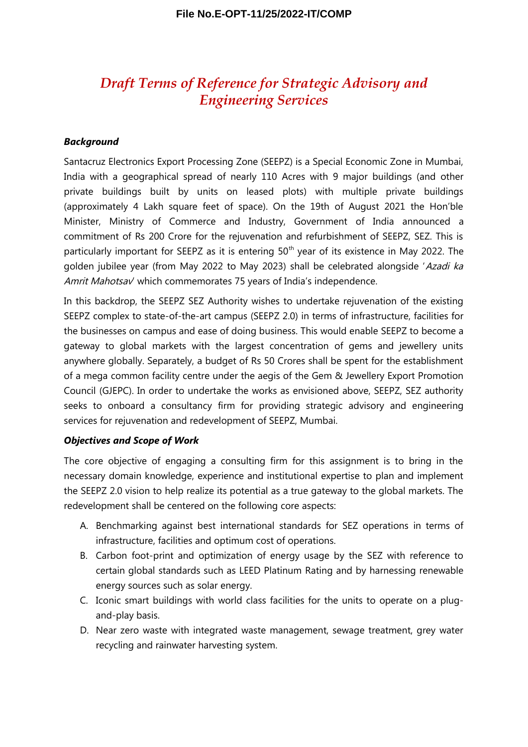# *Draft Terms of Reference for Strategic Advisory and Engineering Services*

#### *Background*

Santacruz Electronics Export Processing Zone (SEEPZ) is a Special Economic Zone in Mumbai, India with a geographical spread of nearly 110 Acres with 9 major buildings (and other private buildings built by units on leased plots) with multiple private buildings (approximately 4 Lakh square feet of space). On the 19th of August 2021 the Hon'ble Minister, Ministry of Commerce and Industry, Government of India announced a commitment of Rs 200 Crore for the rejuvenation and refurbishment of SEEPZ, SEZ. This is particularly important for SEEPZ as it is entering  $50<sup>th</sup>$  year of its existence in May 2022. The golden jubilee year (from May 2022 to May 2023) shall be celebrated alongside 'Azadi ka Amrit Mahotsav' which commemorates 75 years of India's independence.

In this backdrop, the SEEPZ SEZ Authority wishes to undertake rejuvenation of the existing SEEPZ complex to state-of-the-art campus (SEEPZ 2.0) in terms of infrastructure, facilities for the businesses on campus and ease of doing business. This would enable SEEPZ to become a gateway to global markets with the largest concentration of gems and jewellery units anywhere globally. Separately, a budget of Rs 50 Crores shall be spent for the establishment of a mega common facility centre under the aegis of the Gem & Jewellery Export Promotion Council (GJEPC). In order to undertake the works as envisioned above, SEEPZ, SEZ authority seeks to onboard a consultancy firm for providing strategic advisory and engineering services for rejuvenation and redevelopment of SEEPZ, Mumbai.

#### *Objectives and Scope of Work*

The core objective of engaging a consulting firm for this assignment is to bring in the necessary domain knowledge, experience and institutional expertise to plan and implement the SEEPZ 2.0 vision to help realize its potential as a true gateway to the global markets. The redevelopment shall be centered on the following core aspects:

- A. Benchmarking against best international standards for SEZ operations in terms of infrastructure, facilities and optimum cost of operations.
- B. Carbon foot-print and optimization of energy usage by the SEZ with reference to certain global standards such as LEED Platinum Rating and by harnessing renewable energy sources such as solar energy.
- C. Iconic smart buildings with world class facilities for the units to operate on a plugand-play basis.
- D. Near zero waste with integrated waste management, sewage treatment, grey water recycling and rainwater harvesting system.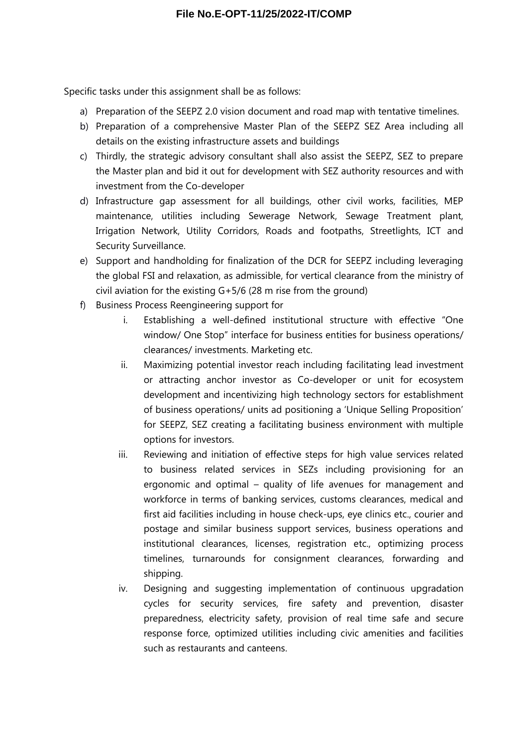Specific tasks under this assignment shall be as follows:

- a) Preparation of the SEEPZ 2.0 vision document and road map with tentative timelines.
- b) Preparation of a comprehensive Master Plan of the SEEPZ SEZ Area including all details on the existing infrastructure assets and buildings
- c) Thirdly, the strategic advisory consultant shall also assist the SEEPZ, SEZ to prepare the Master plan and bid it out for development with SEZ authority resources and with investment from the Co-developer
- d) Infrastructure gap assessment for all buildings, other civil works, facilities, MEP maintenance, utilities including Sewerage Network, Sewage Treatment plant, Irrigation Network, Utility Corridors, Roads and footpaths, Streetlights, ICT and Security Surveillance.
- e) Support and handholding for finalization of the DCR for SEEPZ including leveraging the global FSI and relaxation, as admissible, for vertical clearance from the ministry of civil aviation for the existing G+5/6 (28 m rise from the ground)
- f) Business Process Reengineering support for
	- i. Establishing a well-defined institutional structure with effective "One window/ One Stop" interface for business entities for business operations/ clearances/ investments. Marketing etc.
	- ii. Maximizing potential investor reach including facilitating lead investment or attracting anchor investor as Co-developer or unit for ecosystem development and incentivizing high technology sectors for establishment of business operations/ units ad positioning a 'Unique Selling Proposition' for SEEPZ, SEZ creating a facilitating business environment with multiple options for investors.
	- iii. Reviewing and initiation of effective steps for high value services related to business related services in SEZs including provisioning for an ergonomic and optimal – quality of life avenues for management and workforce in terms of banking services, customs clearances, medical and first aid facilities including in house check-ups, eye clinics etc., courier and postage and similar business support services, business operations and institutional clearances, licenses, registration etc., optimizing process timelines, turnarounds for consignment clearances, forwarding and shipping.
	- iv. Designing and suggesting implementation of continuous upgradation cycles for security services, fire safety and prevention, disaster preparedness, electricity safety, provision of real time safe and secure response force, optimized utilities including civic amenities and facilities such as restaurants and canteens.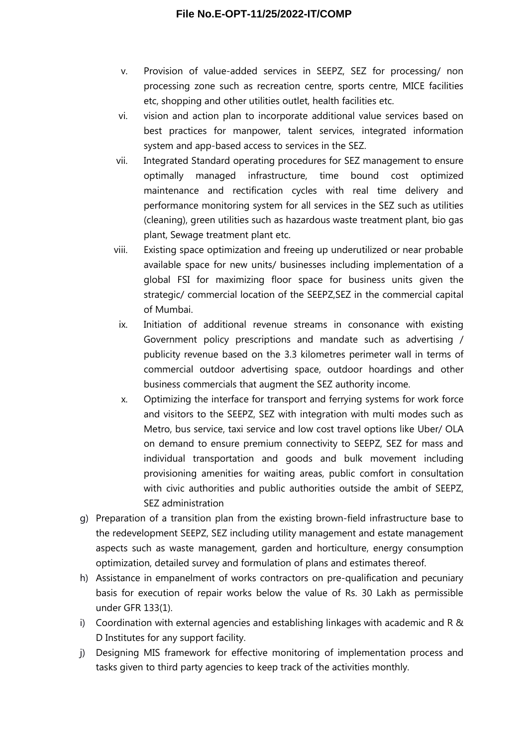- v. Provision of value-added services in SEEPZ, SEZ for processing/ non processing zone such as recreation centre, sports centre, MICE facilities etc, shopping and other utilities outlet, health facilities etc.
- vi. vision and action plan to incorporate additional value services based on best practices for manpower, talent services, integrated information system and app-based access to services in the SEZ.
- vii. Integrated Standard operating procedures for SEZ management to ensure optimally managed infrastructure, time bound cost optimized maintenance and rectification cycles with real time delivery and performance monitoring system for all services in the SEZ such as utilities (cleaning), green utilities such as hazardous waste treatment plant, bio gas plant, Sewage treatment plant etc.
- viii. Existing space optimization and freeing up underutilized or near probable available space for new units/ businesses including implementation of a global FSI for maximizing floor space for business units given the strategic/ commercial location of the SEEPZ,SEZ in the commercial capital of Mumbai.
- ix. Initiation of additional revenue streams in consonance with existing Government policy prescriptions and mandate such as advertising / publicity revenue based on the 3.3 kilometres perimeter wall in terms of commercial outdoor advertising space, outdoor hoardings and other business commercials that augment the SEZ authority income.
- x. Optimizing the interface for transport and ferrying systems for work force and visitors to the SEEPZ, SEZ with integration with multi modes such as Metro, bus service, taxi service and low cost travel options like Uber/ OLA on demand to ensure premium connectivity to SEEPZ, SEZ for mass and individual transportation and goods and bulk movement including provisioning amenities for waiting areas, public comfort in consultation with civic authorities and public authorities outside the ambit of SEEPZ, SEZ administration
- g) Preparation of a transition plan from the existing brown-field infrastructure base to the redevelopment SEEPZ, SEZ including utility management and estate management aspects such as waste management, garden and horticulture, energy consumption optimization, detailed survey and formulation of plans and estimates thereof.
- h) Assistance in empanelment of works contractors on pre-qualification and pecuniary basis for execution of repair works below the value of Rs. 30 Lakh as permissible under GFR 133(1).
- i) Coordination with external agencies and establishing linkages with academic and R & D Institutes for any support facility.
- j) Designing MIS framework for effective monitoring of implementation process and tasks given to third party agencies to keep track of the activities monthly.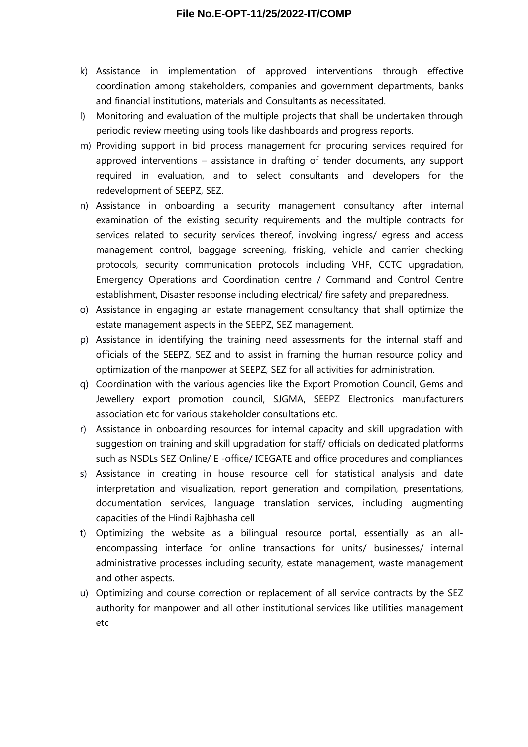- k) Assistance in implementation of approved interventions through effective coordination among stakeholders, companies and government departments, banks and financial institutions, materials and Consultants as necessitated.
- l) Monitoring and evaluation of the multiple projects that shall be undertaken through periodic review meeting using tools like dashboards and progress reports.
- m) Providing support in bid process management for procuring services required for approved interventions – assistance in drafting of tender documents, any support required in evaluation, and to select consultants and developers for the redevelopment of SEEPZ, SEZ.
- n) Assistance in onboarding a security management consultancy after internal examination of the existing security requirements and the multiple contracts for services related to security services thereof, involving ingress/ egress and access management control, baggage screening, frisking, vehicle and carrier checking protocols, security communication protocols including VHF, CCTC upgradation, Emergency Operations and Coordination centre / Command and Control Centre establishment, Disaster response including electrical/ fire safety and preparedness.
- o) Assistance in engaging an estate management consultancy that shall optimize the estate management aspects in the SEEPZ, SEZ management.
- p) Assistance in identifying the training need assessments for the internal staff and officials of the SEEPZ, SEZ and to assist in framing the human resource policy and optimization of the manpower at SEEPZ, SEZ for all activities for administration.
- q) Coordination with the various agencies like the Export Promotion Council, Gems and Jewellery export promotion council, SJGMA, SEEPZ Electronics manufacturers association etc for various stakeholder consultations etc.
- r) Assistance in onboarding resources for internal capacity and skill upgradation with suggestion on training and skill upgradation for staff/ officials on dedicated platforms such as NSDLs SEZ Online/ E -office/ ICEGATE and office procedures and compliances
- s) Assistance in creating in house resource cell for statistical analysis and date interpretation and visualization, report generation and compilation, presentations, documentation services, language translation services, including augmenting capacities of the Hindi Rajbhasha cell
- t) Optimizing the website as a bilingual resource portal, essentially as an allencompassing interface for online transactions for units/ businesses/ internal administrative processes including security, estate management, waste management and other aspects.
- u) Optimizing and course correction or replacement of all service contracts by the SEZ authority for manpower and all other institutional services like utilities management etc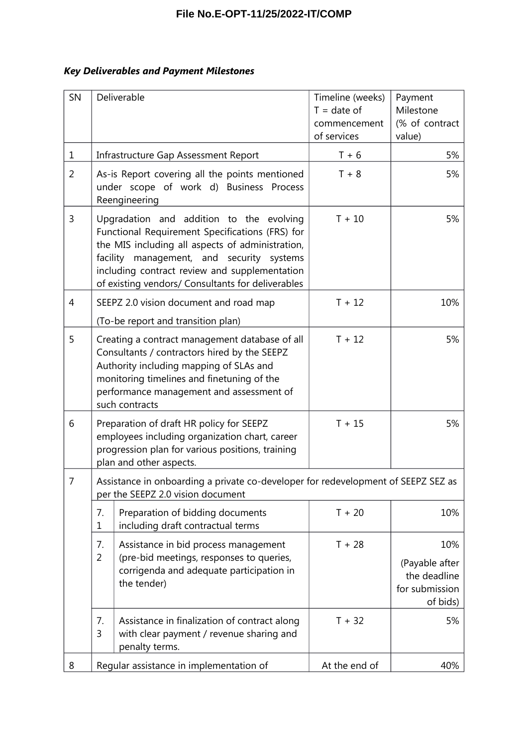### *Key Deliverables and Payment Milestones*

| SN | Deliverable                                                                                                                                                                                                                                                                                        | Timeline (weeks)<br>$T = date of$<br>commencement<br>of services | Payment<br>Milestone<br>(% of contract<br>value)                    |  |
|----|----------------------------------------------------------------------------------------------------------------------------------------------------------------------------------------------------------------------------------------------------------------------------------------------------|------------------------------------------------------------------|---------------------------------------------------------------------|--|
| 1  | Infrastructure Gap Assessment Report                                                                                                                                                                                                                                                               | $T + 6$                                                          | 5%                                                                  |  |
| 2  | As-is Report covering all the points mentioned<br>under scope of work d) Business Process<br>Reengineering                                                                                                                                                                                         | $T + 8$<br>5%                                                    |                                                                     |  |
| 3  | Upgradation and addition to the evolving<br>Functional Requirement Specifications (FRS) for<br>the MIS including all aspects of administration,<br>facility management, and security systems<br>including contract review and supplementation<br>of existing vendors/ Consultants for deliverables | $T + 10$                                                         | 5%                                                                  |  |
| 4  | SEEPZ 2.0 vision document and road map<br>(To-be report and transition plan)                                                                                                                                                                                                                       | $T + 12$                                                         | 10%                                                                 |  |
| 5  | Creating a contract management database of all<br>Consultants / contractors hired by the SEEPZ<br>Authority including mapping of SLAs and<br>monitoring timelines and finetuning of the<br>performance management and assessment of<br>such contracts                                              | $T + 12$                                                         | 5%                                                                  |  |
| 6  | Preparation of draft HR policy for SEEPZ<br>employees including organization chart, career<br>progression plan for various positions, training<br>plan and other aspects.                                                                                                                          | $T + 15$                                                         | 5%                                                                  |  |
| 7  | Assistance in onboarding a private co-developer for redevelopment of SEEPZ SEZ as<br>per the SEEPZ 2.0 vision document                                                                                                                                                                             |                                                                  |                                                                     |  |
|    | 7.<br>Preparation of bidding documents<br>including draft contractual terms<br>$\mathbf 1$                                                                                                                                                                                                         | $T + 20$                                                         | 10%                                                                 |  |
|    | Assistance in bid process management<br>7.<br>(pre-bid meetings, responses to queries,<br>$\overline{2}$<br>corrigenda and adequate participation in<br>the tender)                                                                                                                                | $T + 28$                                                         | 10%<br>(Payable after<br>the deadline<br>for submission<br>of bids) |  |
|    | Assistance in finalization of contract along<br>7.<br>with clear payment / revenue sharing and<br>3<br>penalty terms.                                                                                                                                                                              | $T + 32$                                                         | 5%                                                                  |  |
| 8  | Regular assistance in implementation of                                                                                                                                                                                                                                                            | At the end of                                                    | 40%                                                                 |  |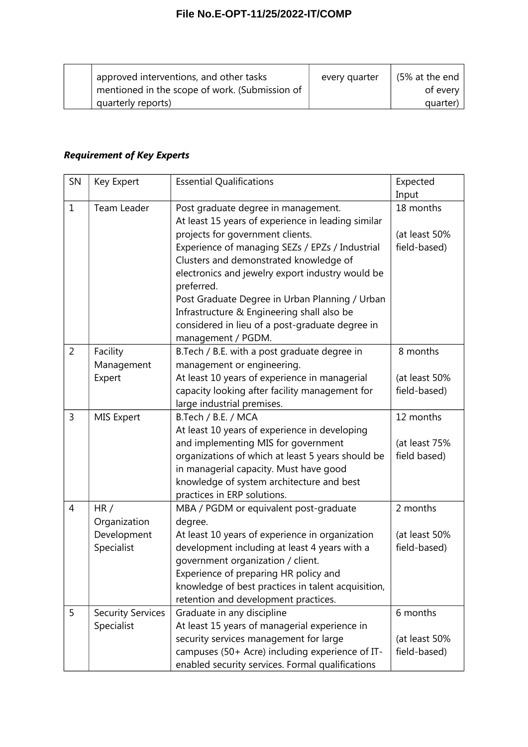| approved interventions, and other tasks        | every quarter | (5% at the end |
|------------------------------------------------|---------------|----------------|
| mentioned in the scope of work. (Submission of |               | of every       |
| quarterly reports)                             |               | quarter)       |

# *Requirement of Key Experts*

| SN             | Key Expert               | <b>Essential Qualifications</b>                    | Expected      |
|----------------|--------------------------|----------------------------------------------------|---------------|
|                |                          |                                                    | Input         |
| $\mathbf{1}$   | Team Leader              | Post graduate degree in management.                | 18 months     |
|                |                          | At least 15 years of experience in leading similar |               |
|                |                          | projects for government clients.                   | (at least 50% |
|                |                          | Experience of managing SEZs / EPZs / Industrial    | field-based)  |
|                |                          | Clusters and demonstrated knowledge of             |               |
|                |                          | electronics and jewelry export industry would be   |               |
|                |                          | preferred.                                         |               |
|                |                          | Post Graduate Degree in Urban Planning / Urban     |               |
|                |                          | Infrastructure & Engineering shall also be         |               |
|                |                          | considered in lieu of a post-graduate degree in    |               |
|                |                          | management / PGDM.                                 |               |
| $\overline{2}$ | Facility                 | B.Tech / B.E. with a post graduate degree in       | 8 months      |
|                | Management               | management or engineering.                         |               |
|                | Expert                   | At least 10 years of experience in managerial      | (at least 50% |
|                |                          | capacity looking after facility management for     | field-based)  |
|                |                          | large industrial premises.                         |               |
| 3              | <b>MIS Expert</b>        | B.Tech / B.E. / MCA                                | 12 months     |
|                |                          | At least 10 years of experience in developing      |               |
|                |                          | and implementing MIS for government                | (at least 75% |
|                |                          | organizations of which at least 5 years should be  | field based)  |
|                |                          | in managerial capacity. Must have good             |               |
|                |                          | knowledge of system architecture and best          |               |
|                |                          | practices in ERP solutions.                        |               |
| 4              | HR/                      | MBA / PGDM or equivalent post-graduate             | 2 months      |
|                | Organization             | degree.                                            |               |
|                | Development              | At least 10 years of experience in organization    | (at least 50% |
|                | Specialist               | development including at least 4 years with a      | field-based)  |
|                |                          | government organization / client.                  |               |
|                |                          | Experience of preparing HR policy and              |               |
|                |                          | knowledge of best practices in talent acquisition, |               |
|                |                          | retention and development practices.               |               |
| 5              | <b>Security Services</b> | Graduate in any discipline                         | 6 months      |
|                | Specialist               | At least 15 years of managerial experience in      |               |
|                |                          | security services management for large             | (at least 50% |
|                |                          | campuses (50+ Acre) including experience of IT-    | field-based)  |
|                |                          | enabled security services. Formal qualifications   |               |